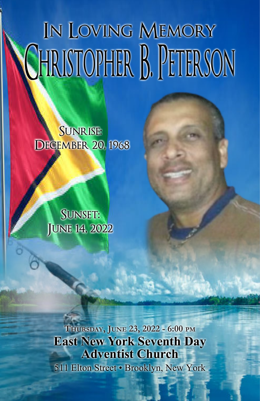# In Loving Memory CHRISTOPHER B. PETERSON

#### Sunrise: **DECEMBER 20, 1968**

SUNSET: JUNE 14, 2022

**THURSDAY, JUNE 23, 2022 - 6:00 PM East New York Seventh Day Adventist Church** 511 Elton Street • Brooklyn, New York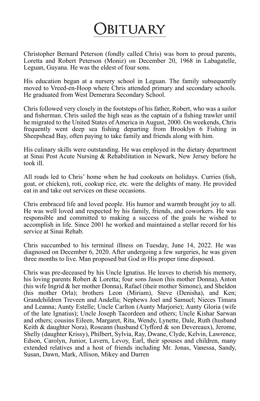### **Obituary**

Christopher Bernard Peterson (fondly called Chris) was born to proud parents, Loretta and Robert Peterson (Moniz) on December 20, 1968 in Labagatelle, Leguan, Guyana. He was the eldest of four sons.

His education began at a nursery school in Leguan. The family subsequently moved to Vreed-en-Hoop where Chris attended primary and secondary schools. He graduated from West Demerara Secondary School.

Chris followed very closely in the footsteps of his father, Robert, who was a sailor and fisherman. Chris sailed the high seas as the captain of a fishing trawler until he migrated to the United States of America in August, 2000. On weekends, Chris frequently went deep sea fishing departing from Brooklyn 6 Fishing in Sheepshead Bay, often paying to take family and friends along with him.

His culinary skills were outstanding. He was employed in the dietary department at Sinai Post Acute Nursing & Rehabilitation in Newark, New Jersey before he took ill.

All roads led to Chris' home when he had cookouts on holidays. Curries (fish, goat, or chicken), roti, cookup rice, etc. were the delights of many. He provided eat in and take out services on these occasions.

Chris embraced life and loved people. His humor and warmth brought joy to all. He was well loved and respected by his family, friends, and coworkers. He was responsible and committed to making a success of the goals he wished to accomplish in life. Since 2001 he worked and maintained a stellar record for his service at Sinai Rehab.

Chris succumbed to his terminal illness on Tuesday, June 14, 2022. He was diagnosed on December 6, 2020. After undergoing a few surgeries, he was given three months to live. Man proposed but God in His proper time disposed.

Chris was pre-deceased by his Uncle Ignatius. He leaves to cherish his memory, his loving parents Robert & Loretta; four sons Jason (his mother Donna), Anton (his wife Ingrid & her mother Donna), Rafael (their mother Simone), and Sheldon (his mother Orla); brothers Leon (Miriam), Steve (Denisha), and Ken; Grandchildren Treveen and Andella; Nephews Joel and Samuel; Nieces Timara and Leanna; Aunty Estelle; Uncle Carlton (Aunty Marjorie); Aunty Gloria (wife of the late Ignatius); Uncle Joseph Tacordeen and others; Uncle Kishar Sarwan and others; cousins Eileen, Margaret, Rita, Wendy, Lynette, Dale, Ruth (husband Keith & daughter Nora), Roseann (husband Clyfford & son Devereaux), Jerome, Shelly (daughter Krissy), Philbert, Sylvia, Ray, Dwane, Clyde, Kelvin, Lawrence, Edson, Carolyn, Junior, Lavern, Levoy, Earl, their spouses and children, many extended relatives and a host of friends including Mr. Jonas, Vanessa, Sandy, Susan, Dawn, Mark, Allison, Mikey and Darren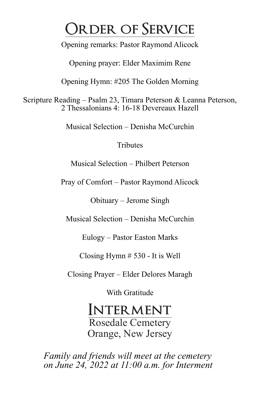## **Order of Service**

Opening remarks: Pastor Raymond Alicock

Opening prayer: Elder Maximim Rene

Opening Hymn: #205 The Golden Morning

Scripture Reading – Psalm 23, Timara Peterson & Leanna Peterson, 2 Thessalonians 4: 16-18 Devereaux Hazell

Musical Selection – Denisha McCurchin

**Tributes** 

Musical Selection – Philbert Peterson

Pray of Comfort – Pastor Raymond Alicock

Obituary – Jerome Singh

Musical Selection – Denisha McCurchin

Eulogy – Pastor Easton Marks

Closing Hymn # 530 - It is Well

Closing Prayer – Elder Delores Maragh

With Gratitude

#### **INTERMENT**

Rosedale Cemetery Orange, New Jersey

*Family and friends will meet at the cemetery on June 24, 2022 at 11:00 a.m. for Interment*